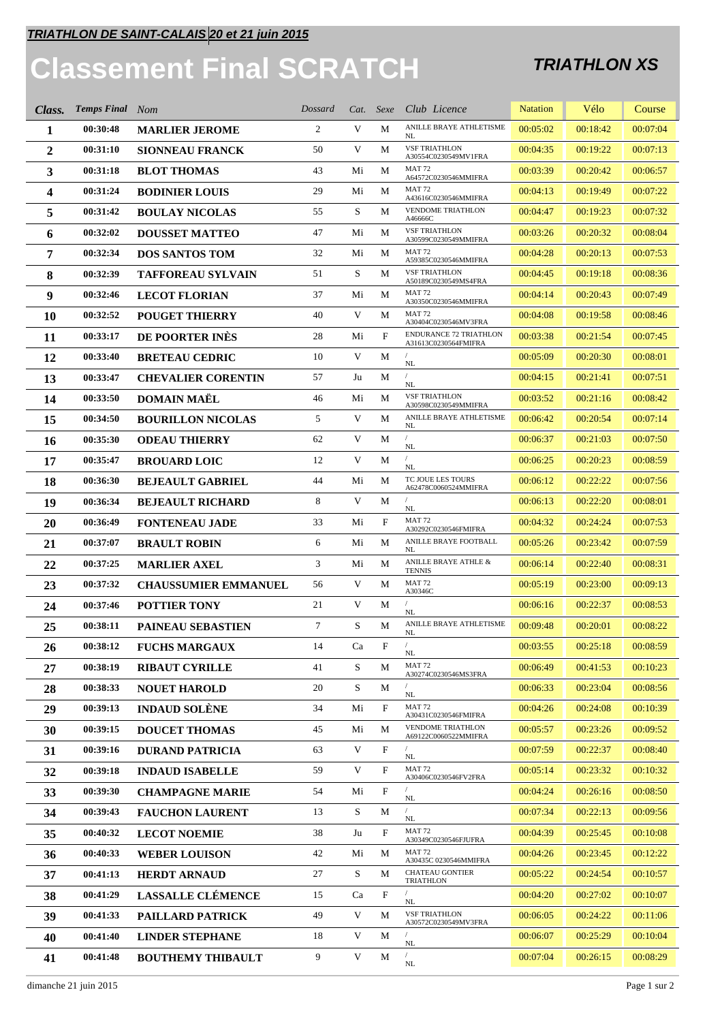## **Classement Final SCRATCH TRIATHLON XS**

| Class.         | <b>Temps Final</b> Nom |                             | Dossard |    |                           | Cat. Sexe Club Licence                                | <b>Natation</b> | Vélo     | Course   |
|----------------|------------------------|-----------------------------|---------|----|---------------------------|-------------------------------------------------------|-----------------|----------|----------|
| 1              | 00:30:48               | <b>MARLIER JEROME</b>       | 2       | V  | М                         | ANILLE BRAYE ATHLETISME<br>NL                         | 00:05:02        | 00:18:42 | 00:07:04 |
| $\overline{2}$ | 00:31:10               | <b>SIONNEAU FRANCK</b>      | 50      | V  | М                         | <b>VSF TRIATHLON</b><br>A30554C0230549MV1FRA          | 00:04:35        | 00:19:22 | 00:07:13 |
| 3              | 00:31:18               | <b>BLOT THOMAS</b>          | 43      | Mi | М                         | <b>MAT 72</b><br>A64572C0230546MMIFRA                 | 00:03:39        | 00:20:42 | 00:06:57 |
| 4              | 00:31:24               | <b>BODINIER LOUIS</b>       | 29      | Mi | M                         | <b>MAT 72</b><br>A43616C0230546MMIFRA                 | 00:04:13        | 00:19:49 | 00:07:22 |
| 5              | 00:31:42               | <b>BOULAY NICOLAS</b>       | 55      | S  | М                         | VENDOME TRIATHLON<br>A46666C                          | 00:04:47        | 00:19:23 | 00:07:32 |
| 6              | 00:32:02               | <b>DOUSSET MATTEO</b>       | 47      | Mi | М                         | <b>VSF TRIATHLON</b><br>A30599C0230549MMIFRA          | 00:03:26        | 00:20:32 | 00:08:04 |
| 7              | 00:32:34               | <b>DOS SANTOS TOM</b>       | 32      | Mi | М                         | <b>MAT 72</b><br>A59385C0230546MMIFRA                 | 00:04:28        | 00:20:13 | 00:07:53 |
| 8              | 00:32:39               | <b>TAFFOREAU SYLVAIN</b>    | 51      | S  | М                         | <b>VSF TRIATHLON</b><br>A50189C0230549MS4FRA          | 00:04:45        | 00:19:18 | 00:08:36 |
| 9              | 00:32:46               | <b>LECOT FLORIAN</b>        | 37      | Mi | M                         | <b>MAT 72</b><br>A30350C0230546MMIFRA                 | 00:04:14        | 00:20:43 | 00:07:49 |
| 10             | 00:32:52               | <b>POUGET THIERRY</b>       | 40      | V  | М                         | <b>MAT 72</b><br>A30404C0230546MV3FRA                 | 00:04:08        | 00:19:58 | 00:08:46 |
| 11             | 00:33:17               | DE POORTER INÈS             | 28      | Mi | F                         | <b>ENDURANCE 72 TRIATHLON</b><br>A31613C0230564FMIFRA | 00:03:38        | 00:21:54 | 00:07:45 |
| 12             | 00:33:40               | <b>BRETEAU CEDRIC</b>       | 10      | V  | М                         | $\rm NL$                                              | 00:05:09        | 00:20:30 | 00:08:01 |
| 13             | 00:33:47               | <b>CHEVALIER CORENTIN</b>   | 57      | Ju | М                         | $\rm NL$                                              | 00:04:15        | 00:21:41 | 00:07:51 |
| 14             | 00:33:50               | <b>DOMAIN MAËL</b>          | 46      | Mi | М                         | <b>VSF TRIATHLON</b><br>A30598C0230549MMIFRA          | 00:03:52        | 00:21:16 | 00:08:42 |
| 15             | 00:34:50               | <b>BOURILLON NICOLAS</b>    | 5       | V  | М                         | ANILLE BRAYE ATHLETISME<br>NL                         | 00:06:42        | 00:20:54 | 00:07:14 |
| 16             | 00:35:30               | <b>ODEAU THIERRY</b>        | 62      | V  | М                         | $\sqrt{2}$<br>NL                                      | 00:06:37        | 00:21:03 | 00:07:50 |
| 17             | 00:35:47               | <b>BROUARD LOIC</b>         | 12      | V  | М                         | NL                                                    | 00:06:25        | 00:20:23 | 00:08:59 |
| 18             | 00:36:30               | <b>BEJEAULT GABRIEL</b>     | 44      | Mi | М                         | TC JOUE LES TOURS<br>A62478C0060524MMIFRA             | 00:06:12        | 00:22:22 | 00:07:56 |
| 19             | 00:36:34               | <b>BEJEAULT RICHARD</b>     | 8       | V  | М                         | $\rm NL$                                              | 00:06:13        | 00:22:20 | 00:08:01 |
| 20             | 00:36:49               | <b>FONTENEAU JADE</b>       | 33      | Mi | F                         | <b>MAT 72</b><br>A30292C0230546FMIFRA                 | 00:04:32        | 00:24:24 | 00:07:53 |
| 21             | 00:37:07               | <b>BRAULT ROBIN</b>         | 6       | Mi | М                         | ANILLE BRAYE FOOTBALL<br>NL                           | 00:05:26        | 00:23:42 | 00:07:59 |
| 22             | 00:37:25               | <b>MARLIER AXEL</b>         | 3       | Mi | М                         | ANILLE BRAYE ATHLE $\&$<br><b>TENNIS</b>              | 00:06:14        | 00:22:40 | 00:08:31 |
| 23             | 00:37:32               | <b>CHAUSSUMIER EMMANUEL</b> | 56      | V  | М                         | <b>MAT 72</b><br>A30346C                              | 00:05:19        | 00:23:00 | 00:09:13 |
| 24             | 00:37:46               | <b>POTTIER TONY</b>         | 21      | V  | М                         | NL                                                    | 00:06:16        | 00:22:37 | 00:08:53 |
| 25             | 00:38:11               | <b>PAINEAU SEBASTIEN</b>    | $\tau$  | S  | M                         | ANILLE BRAYE ATHLETISME<br>NL                         | 00:09:48        | 00:20:01 | 00:08:22 |
| 26             | 00:38:12               | <b>FUCHS MARGAUX</b>        | 14      | Ca | F                         | NL                                                    | 00:03:55        | 00:25:18 | 00:08:59 |
| 27             | 00:38:19               | <b>RIBAUT CYRILLE</b>       | 41      | S  | М                         | <b>MAT 72</b><br>A30274C0230546MS3FRA                 | 00:06:49        | 00:41:53 | 00:10:23 |
| 28             | 00:38:33               | <b>NOUET HAROLD</b>         | 20      | S  | М                         | $\rm NL$                                              | 00:06:33        | 00:23:04 | 00:08:56 |
| 29             | 00:39:13               | <b>INDAUD SOLÈNE</b>        | 34      | Mi | F                         | <b>MAT 72</b><br>A30431C0230546FMIFRA                 | 00:04:26        | 00:24:08 | 00:10:39 |
| 30             | 00:39:15               | <b>DOUCET THOMAS</b>        | 45      | Mi | М                         | <b>VENDOME TRIATHLON</b><br>A69122C0060522MMIFRA      | 00:05:57        | 00:23:26 | 00:09:52 |
| 31             | 00:39:16               | <b>DURAND PATRICIA</b>      | 63      | V  | F                         | NL                                                    | 00:07:59        | 00:22:37 | 00:08:40 |
| 32             | 00:39:18               | <b>INDAUD ISABELLE</b>      | 59      | V  | $\mathbf F$               | <b>MAT 72</b><br>A30406C0230546FV2FRA                 | 00:05:14        | 00:23:32 | 00:10:32 |
| 33             | 00:39:30               | <b>CHAMPAGNE MARIE</b>      | 54      | Mi | $\boldsymbol{\mathrm{F}}$ | $\sqrt{2}$<br>NL                                      | 00:04:24        | 00:26:16 | 00:08:50 |
| 34             | 00:39:43               | <b>FAUCHON LAURENT</b>      | 13      | S  | М                         | NL                                                    | 00:07:34        | 00:22:13 | 00:09:56 |
| 35             | 00:40:32               | <b>LECOT NOEMIE</b>         | 38      | Ju | F                         | <b>MAT 72</b><br>A30349C0230546FJUFRA                 | 00:04:39        | 00:25:45 | 00:10:08 |
| 36             | 00:40:33               | <b>WEBER LOUISON</b>        | 42      | Mi | М                         | <b>MAT 72</b><br>A30435C 0230546MMIFRA                | 00:04:26        | 00:23:45 | 00:12:22 |
| 37             | 00:41:13               | <b>HERDT ARNAUD</b>         | 27      | S  | М                         | <b>CHATEAU GONTIER</b><br><b>TRIATHLON</b>            | 00:05:22        | 00:24:54 | 00:10:57 |
| 38             | 00:41:29               | <b>LASSALLE CLÉMENCE</b>    | 15      | Ca | F                         | NL                                                    | 00:04:20        | 00:27:02 | 00:10:07 |
| 39             | 00:41:33               | <b>PAILLARD PATRICK</b>     | 49      | V  | М                         | <b>VSF TRIATHLON</b><br>A30572C0230549MV3FRA          | 00:06:05        | 00:24:22 | 00:11:06 |
| 40             | 00:41:40               | <b>LINDER STEPHANE</b>      | 18      | V  | М                         | $\rm NL$                                              | 00:06:07        | 00:25:29 | 00:10:04 |
| 41             | 00:41:48               | <b>BOUTHEMY THIBAULT</b>    | 9       | V  | М                         | $\rm NL$                                              | 00:07:04        | 00:26:15 | 00:08:29 |